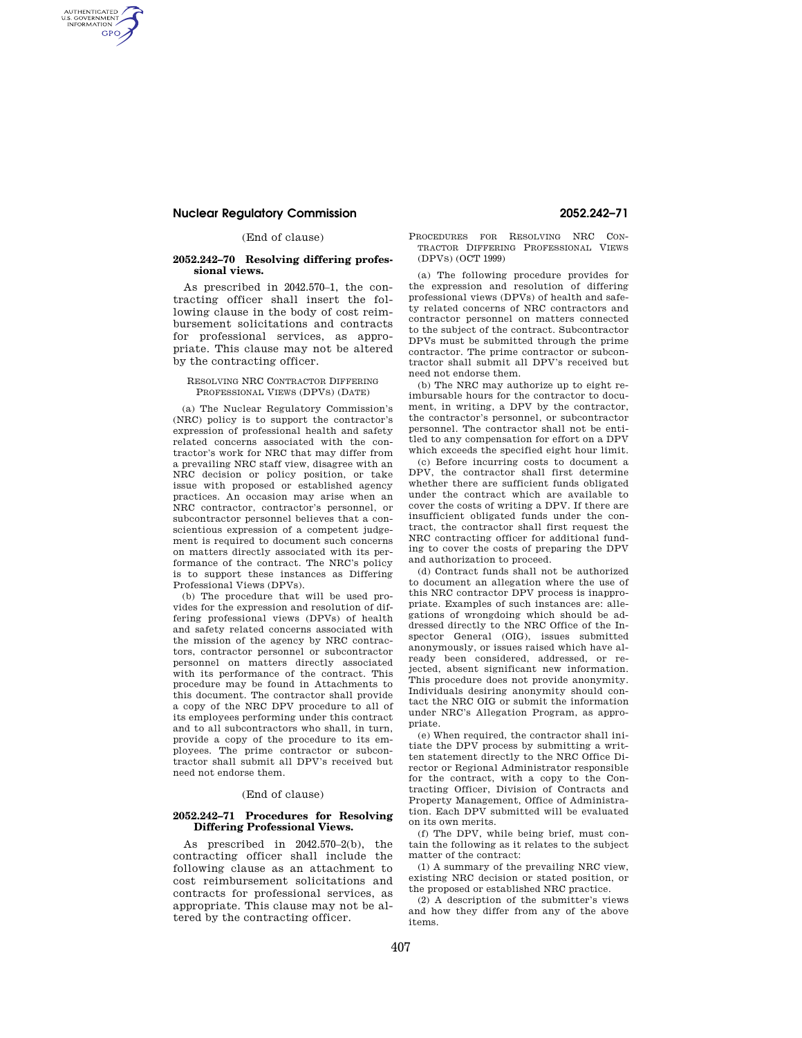# **Nuclear Regulatory Commission 2052.242–71**

AUTHENTICATED<br>U.S. GOVERNMENT<br>INFORMATION **GPO** 

(End of clause)

#### **2052.242–70 Resolving differing professional views.**

As prescribed in 2042.570–1, the contracting officer shall insert the following clause in the body of cost reimbursement solicitations and contracts for professional services, as appropriate. This clause may not be altered by the contracting officer.

### RESOLVING NRC CONTRACTOR DIFFERING PROFESSIONAL VIEWS (DPVS) (DATE)

(a) The Nuclear Regulatory Commission's (NRC) policy is to support the contractor's expression of professional health and safety related concerns associated with the contractor's work for NRC that may differ from a prevailing NRC staff view, disagree with an NRC decision or policy position, or take issue with proposed or established agency practices. An occasion may arise when an NRC contractor, contractor's personnel, or subcontractor personnel believes that a conscientious expression of a competent judgement is required to document such concerns on matters directly associated with its performance of the contract. The NRC's policy is to support these instances as Differing Professional Views (DPVs).

(b) The procedure that will be used provides for the expression and resolution of differing professional views (DPVs) of health and safety related concerns associated with the mission of the agency by NRC contractors, contractor personnel or subcontractor personnel on matters directly associated with its performance of the contract. This procedure may be found in Attachments to this document. The contractor shall provide a copy of the NRC DPV procedure to all of its employees performing under this contract and to all subcontractors who shall, in turn, provide a copy of the procedure to its employees. The prime contractor or subcontractor shall submit all DPV's received but need not endorse them.

#### (End of clause)

#### **2052.242–71 Procedures for Resolving Differing Professional Views.**

As prescribed in 2042.570–2(b), the contracting officer shall include the following clause as an attachment to cost reimbursement solicitations and contracts for professional services, as appropriate. This clause may not be altered by the contracting officer.

#### PROCEDURES FOR RESOLVING NRC CON-TRACTOR DIFFERING PROFESSIONAL VIEWS (DPVS) (OCT 1999)

(a) The following procedure provides for the expression and resolution of differing professional views (DPVs) of health and safety related concerns of NRC contractors and contractor personnel on matters connected to the subject of the contract. Subcontractor DPVs must be submitted through the prime contractor. The prime contractor or subcontractor shall submit all DPV's received but need not endorse them.

(b) The NRC may authorize up to eight reimbursable hours for the contractor to document, in writing, a DPV by the contractor, the contractor's personnel, or subcontractor personnel. The contractor shall not be entitled to any compensation for effort on a DPV which exceeds the specified eight hour limit.

(c) Before incurring costs to document a DPV, the contractor shall first determine whether there are sufficient funds obligated under the contract which are available to cover the costs of writing a DPV. If there are insufficient obligated funds under the contract, the contractor shall first request the NRC contracting officer for additional funding to cover the costs of preparing the DPV and authorization to proceed.

(d) Contract funds shall not be authorized to document an allegation where the use of this NRC contractor DPV process is inappropriate. Examples of such instances are: allegations of wrongdoing which should be addressed directly to the NRC Office of the Inspector General (OIG), issues submitted anonymously, or issues raised which have already been considered, addressed, or rejected, absent significant new information. This procedure does not provide anonymity. Individuals desiring anonymity should contact the NRC OIG or submit the information under NRC's Allegation Program, as appropriate.

(e) When required, the contractor shall initiate the DPV process by submitting a written statement directly to the NRC Office Director or Regional Administrator responsible for the contract, with a copy to the Contracting Officer, Division of Contracts and Property Management, Office of Administration. Each DPV submitted will be evaluated on its own merits.

(f) The DPV, while being brief, must contain the following as it relates to the subject matter of the contract:

(1) A summary of the prevailing NRC view, existing NRC decision or stated position, or the proposed or established NRC practice.

(2) A description of the submitter's views and how they differ from any of the above items.